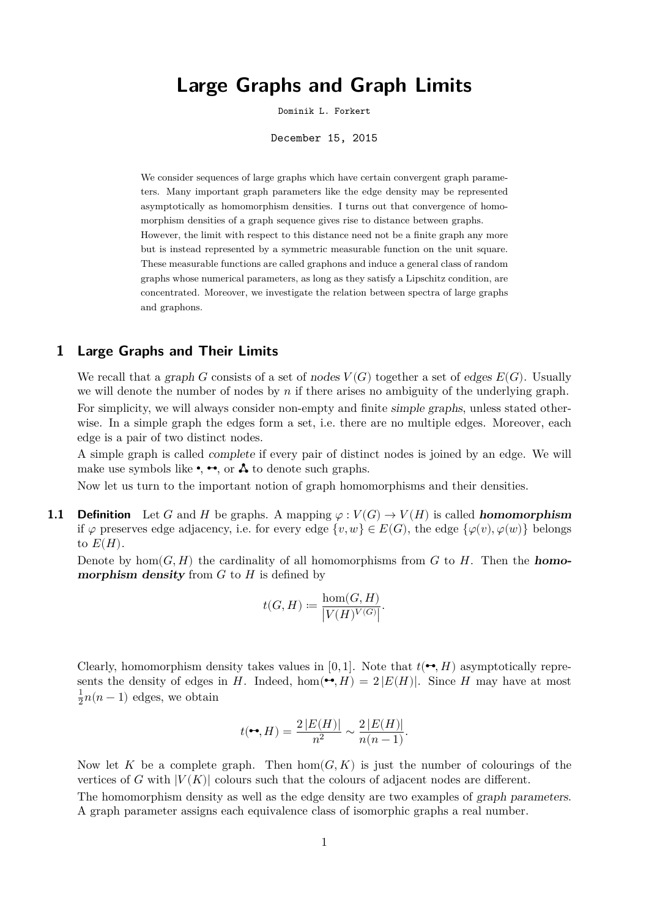# **Large Graphs and Graph Limits**

Dominik L. Forkert

December 15, 2015

We consider sequences of large graphs which have certain convergent graph parameters. Many important graph parameters like the edge density may be represented asymptotically as homomorphism densities. I turns out that convergence of homomorphism densities of a graph sequence gives rise to distance between graphs. However, the limit with respect to this distance need not be a finite graph any more but is instead represented by a symmetric measurable function on the unit square. These measurable functions are called graphons and induce a general class of random graphs whose numerical parameters, as long as they satisfy a Lipschitz condition, are concentrated. Moreover, we investigate the relation between spectra of large graphs and graphons.

## **1 Large Graphs and Their Limits**

We recall that a graph G consists of a set of nodes  $V(G)$  together a set of edges  $E(G)$ . Usually we will denote the number of nodes by  $n$  if there arises no ambiguity of the underlying graph. For simplicity, we will always consider non-empty and finite simple graphs, unless stated otherwise. In a simple graph the edges form a set, i.e. there are no multiple edges. Moreover, each edge is a pair of two distinct nodes.

A simple graph is called complete if every pair of distinct nodes is joined by an edge. We will make use symbols like  $\bullet$ ,  $\bullet\bullet$ , or  $\Lambda$  to denote such graphs.

Now let us turn to the important notion of graph homomorphisms and their densities.

**1.1 Definition** Let G and H be graphs. A mapping  $\varphi : V(G) \to V(H)$  is called **homomorphism** if  $\varphi$  preserves edge adjacency, i.e. for every edge  $\{v, w\} \in E(G)$ , the edge  $\{\varphi(v), \varphi(w)\}\$  belongs to  $E(H)$ .

Denote by  $hom(G, H)$  the cardinality of all homomorphisms from G to H. Then the **homomorphism density** from  $G$  to  $H$  is defined by

$$
t(G, H) \coloneqq \frac{\hom(G, H)}{|V(H)^{V(G)}|}.
$$

Clearly, homomorphism density takes values in [0, 1]. Note that  $t(\rightarrow, H)$  asymptotically represents the density of edges in H. Indeed, hom $(\bullet, H) = 2 |E(H)|$ . Since H may have at most  $\overline{1}$  $\frac{1}{2}n(n-1)$  edges, we obtain

$$
t(\bullet \bullet, H) = \frac{2|E(H)|}{n^2} \sim \frac{2|E(H)|}{n(n-1)}.
$$

Now let K be a complete graph. Then  $hom(G, K)$  is just the number of colourings of the vertices of G with  $|V(K)|$  colours such that the colours of adjacent nodes are different. The homomorphism density as well as the edge density are two examples of graph parameters. A graph parameter assigns each equivalence class of isomorphic graphs a real number.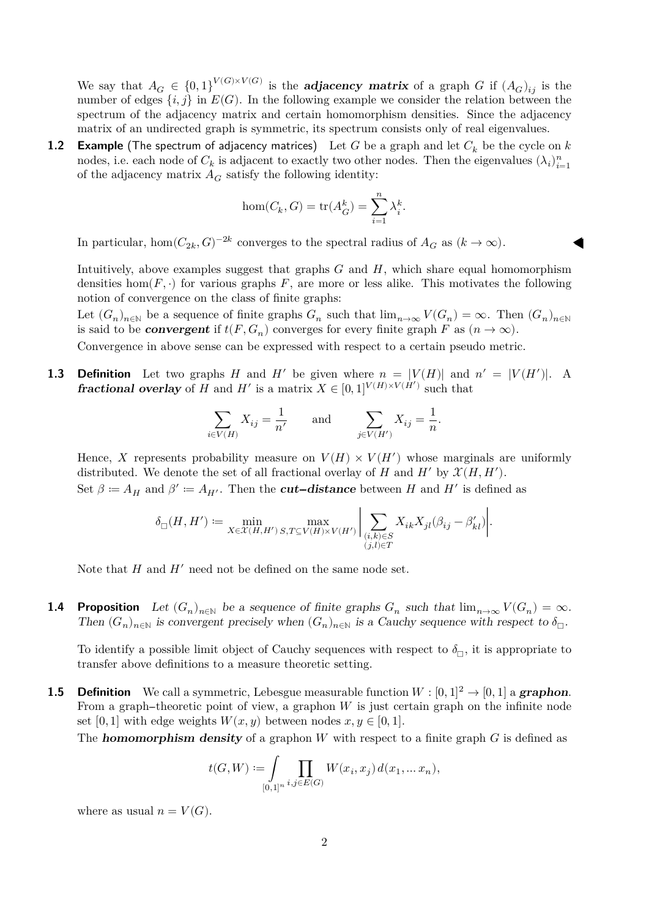We say that  $A_G \in \{0,1\}^{V(G)\times V(G)}$  is the **adjacency matrix** of a graph G if  $(A_G)_{ij}$  is the number of edges  $\{i, j\}$  in  $E(G)$ . In the following example we consider the relation between the spectrum of the adjacency matrix and certain homomorphism densities. Since the adjacency matrix of an undirected graph is symmetric, its spectrum consists only of real eigenvalues.

**1.2 Example** (The spectrum of adjacency matrices) Let G be a graph and let  $C_k$  be the cycle on k nodes, i.e. each node of  $C_k$  is adjacent to exactly two other nodes. Then the eigenvalues  $(\lambda_i)_{i=1}^n$  $i=1$ of the adjacency matrix  $A_G$  satisfy the following identity:

$$
\hom(C_k,G) = \text{tr}(A_G^k) = \sum_{i=1}^n \lambda_i^k
$$

.

In particular, hom $(C_{2k}, G)^{-2k}$  converges to the spectral radius of  $A_G$  as  $(k \to \infty)$ .

Intuitively, above examples suggest that graphs  $G$  and  $H$ , which share equal homomorphism densities hom $(F, \cdot)$  for various graphs F, are more or less alike. This motivates the following notion of convergence on the class of finite graphs:

Let  $(G_n)_{n\in\mathbb{N}}$  be a sequence of finite graphs  $G_n$  such that  $\lim_{n\to\infty} V(G_n) = \infty$ . Then  $(G_n)_{n\in\mathbb{N}}$ is said to be **convergent** if  $t(F, G_n)$  converges for every finite graph F as  $(n \to \infty)$ .

Convergence in above sense can be expressed with respect to a certain pseudo metric.

**1.3 Definition** Let two graphs H and H' be given where  $n = |V(H)|$  and  $n' = |V(H')|$ . A **fractional overlay** of H and H' is a matrix  $X \in [0,1]^{V(H) \times V(H')}$  such that

$$
\sum_{i \in V(H)} X_{ij} = \frac{1}{n'} \quad \text{and} \quad \sum_{j \in V(H')} X_{ij} = \frac{1}{n}.
$$

Hence, X represents probability measure on  $V(H) \times V(H')$  whose marginals are uniformly distributed. We denote the set of all fractional overlay of H and H' by  $\mathcal{X}(H, H')$ . Set  $\beta \coloneqq A_H$  and  $\beta' \coloneqq A_{H'}$ . Then the *cut-distance* between H and H' is defined as

$$
\delta_{\square}(H,H')\coloneqq\min_{X\in\mathcal{X}(H,H')}\max_{S,T\subseteq V(H)\times V(H')}\Big|\sum_{\substack{(i,k)\in S\\(j,l)\in T}}X_{ik}X_{jl}(\beta_{ij}-\beta'_{kl})\Big|.
$$

Note that  $H$  and  $H'$  need not be defined on the same node set.

**1.4 Proposition** Let  $(G_n)_{n\in\mathbb{N}}$  be a sequence of finite graphs  $G_n$  such that  $\lim_{n\to\infty} V(G_n) = \infty$ . Then  $(G_n)_{n\in\mathbb{N}}$  is convergent precisely when  $(G_n)_{n\in\mathbb{N}}$  is a Cauchy sequence with respect to  $\delta_{\square}$ .

To identify a possible limit object of Cauchy sequences with respect to  $\delta_{\square}$ , it is appropriate to transfer above definitions to a measure theoretic setting.

**1.5 Definition** We call a symmetric, Lebesgue measurable function  $W : [0, 1]^2 \rightarrow [0, 1]$  a **graphon**. From a graph--theoretic point of view, a graphon  $W$  is just certain graph on the infinite node set [0, 1] with edge weights  $W(x, y)$  between nodes  $x, y \in [0, 1]$ .

The **homomorphism density** of a graphon W with respect to a finite graph  $G$  is defined as

$$
t(G, W) := \int_{[0,1]^n} \prod_{i,j \in E(G)} W(x_i, x_j) d(x_1, \dots x_n),
$$

where as usual  $n = V(G)$ .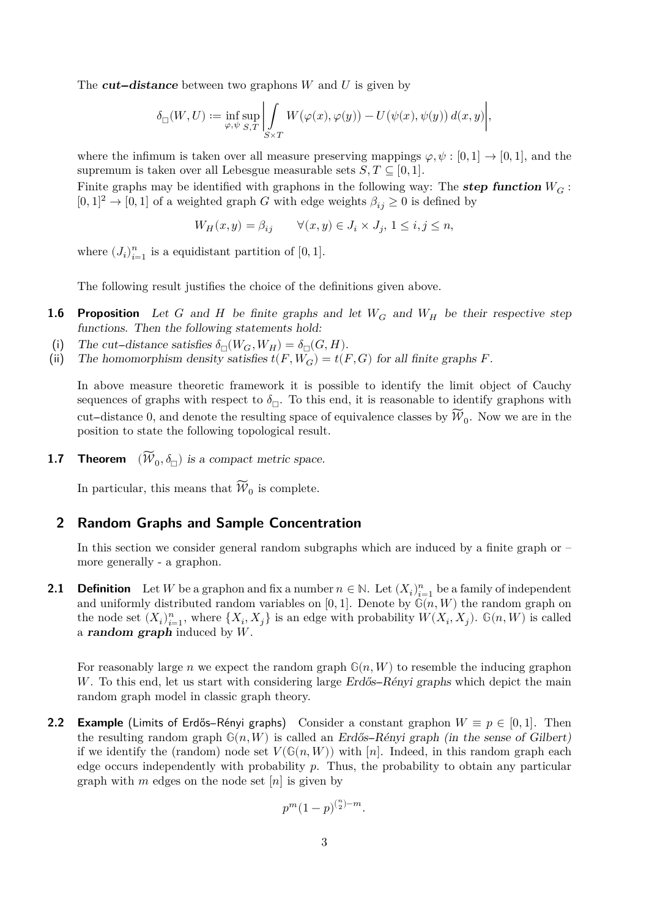The **cut-distance** between two graphons W and U is given by

$$
\delta_{\square}(W,U) \coloneqq \inf_{\varphi, \psi} \sup_{S,T} \left| \int\limits_{S \times T} W\big(\varphi(x),\varphi(y)\big) - U\big(\psi(x),\psi(y)\big) \, d(x,y) \right|,
$$

where the infimum is taken over all measure preserving mappings  $\varphi, \psi : [0, 1] \to [0, 1]$ , and the supremum is taken over all Lebesgue measurable sets  $S, T \subseteq [0, 1]$ .

Finite graphs may be identified with graphons in the following way: The **step function**  $W_G$ :  $[0, 1]^2 \rightarrow [0, 1]$  of a weighted graph G with edge weights  $\beta_{ij} \geq 0$  is defined by

$$
W_H(x, y) = \beta_{ij} \qquad \forall (x, y) \in J_i \times J_j, \ 1 \le i, j \le n,
$$

where  $(J_i)_{i=1}^n$  is a equidistant partition of  $[0, 1]$ .

The following result justifies the choice of the definitions given above.

- **1.6 Proposition** Let G and H be finite graphs and let  $W_G$  and  $W_H$  be their respective step functions. Then the following statements hold:
- (i) The cut-distance satisfies  $\delta_{\Box}(W_G, W_H) = \delta_{\Box}(G, H)$ .<br>(ii) The homomorphism density satisfies  $t(F, W_G) = t(H)$
- The homomorphism density satisfies  $t(F, W_G) = t(F, G)$  for all finite graphs F.

In above measure theoretic framework it is possible to identify the limit object of Cauchy sequences of graphs with respect to  $\delta_{\square}$ . To this end, it is reasonable to identify graphons with cut-distance 0, and denote the resulting space of equivalence classes by  $\mathcal{W}_0$ . Now we are in the position to state the following topological result.

**1.7 Theorem**  $(W_0, \delta_{\square})$  is a compact metric space.

In particular, this means that  $\mathcal{W}_0$  is complete.

## **2 Random Graphs and Sample Concentration**

In this section we consider general random subgraphs which are induced by a finite graph or – more generally - a graphon.

**2.1 Definition** Let W be a graphon and fix a number  $n \in \mathbb{N}$ . Let  $(X_i)_{i=1}^n$  be a family of independent and uniformly distributed random variables on [0, 1]. Denote by  $\mathbb{G}(n, W)$  the random graph on the node set  $(X_i)_{i=1}^n$ , where  $\{X_i, X_j\}$  is an edge with probability  $W(X_i, X_j)$ .  $\mathbb{G}(n, W)$  is called a **random graph** induced by  $W$ .

For reasonably large n we expect the random graph  $\mathbb{G}(n, W)$  to resemble the inducing graphon W. To this end, let us start with considering large  $Erd\ddot{\alpha}-R\acute{e}n\gamma i$  graphs which depict the main random graph model in classic graph theory.

**2.2 Example** (Limits of Erdős-Rényi graphs) Consider a constant graphon  $W \equiv p \in [0, 1]$ . Then the resulting random graph  $\mathbb{G}(n, W)$  is called an Erdős-Rényi graph (in the sense of Gilbert) if we identify the (random) node set  $V(\mathbb{G}(n, W))$  with [n]. Indeed, in this random graph each edge occurs independently with probability  $p$ . Thus, the probability to obtain any particular graph with m edges on the node set  $[n]$  is given by

$$
p^m(1-p)^{{n \choose 2}-m}.
$$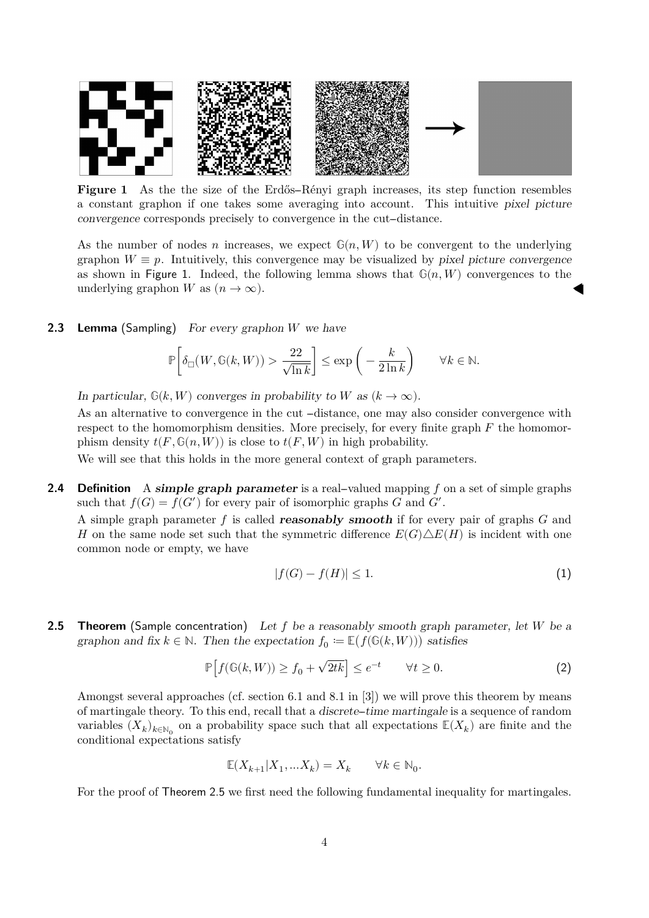

**Figure 1** As the the size of the Erdős-Rényi graph increases, its step function resembles a constant graphon if one takes some averaging into account. This intuitive pixel picture convergence corresponds precisely to convergence in the cut-distance.

As the number of nodes n increases, we expect  $\mathbb{G}(n, W)$  to be convergent to the underlying graphon  $W \equiv p$ . Intuitively, this convergence may be visualized by pixel picture convergence as shown in Figure 1. Indeed, the following lemma shows that  $\mathbb{G}(n, W)$  convergences to the underlying graphon W as  $(n \to \infty)$ .

#### **2.3 Lemma** (Sampling) For every graphon  $W$  we have

$$
\mathbb{P}\bigg[\delta_{\square}\big(W,\mathbb{G}(k,W)\big) > \frac{22}{\sqrt{\ln k}}\bigg] \le \exp\bigg(-\frac{k}{2\ln k}\bigg) \qquad \forall k \in \mathbb{N}.
$$

In particular,  $\mathbb{G}(k, W)$  converges in probability to W as  $(k \to \infty)$ .

As an alternative to convergence in the cut  $-distance$ , one may also consider convergence with respect to the homomorphism densities. More precisely, for every finite graph  $F$  the homomorphism density  $t(F, \mathbb{G}(n, W))$  is close to  $t(F, W)$  in high probability.

We will see that this holds in the more general context of graph parameters.

**2.4 Definition** A **simple graph parameter** is a real-valued mapping f on a set of simple graphs such that  $f(G) = f(G')$  for every pair of isomorphic graphs G and G'.

A simple graph parameter f is called **reasonably smooth** if for every pair of graphs  $G$  and H on the same node set such that the symmetric difference  $E(G)\triangle E(H)$  is incident with one common node or empty, we have

$$
|f(G) - f(H)| \le 1. \tag{1}
$$

**2.5 Theorem** (Sample concentration) Let  $f$  be a reasonably smooth graph parameter, let  $W$  be a graphon and fix  $k \in \mathbb{N}$ . Then the expectation  $f_0 \coloneqq \mathbb{E}(f(\mathbb{G}(k, W)))$  satisfies

$$
\mathbb{P}\left[f(\mathbb{G}(k,W))\geq f_0+\sqrt{2tk}\right]\leq e^{-t}\qquad\forall t\geq 0. \tag{2}
$$

Amongst several approaches (cf. section 6.1 and 8.1 in [3]) we will prove this theorem by means of martingale theory. To this end, recall that a discrete--time martingale is a sequence of random variables  $(X_k)_{k\in\mathbb{N}_0}$  on a probability space such that all expectations  $\mathbb{E}(X_k)$  are finite and the conditional expectations satisfy

$$
\mathbb{E}(X_{k+1}|X_1,...X_k)=X_k \qquad \forall k\in \mathbb{N}_0.
$$

For the proof of Theorem 2.5 we first need the following fundamental inequality for martingales.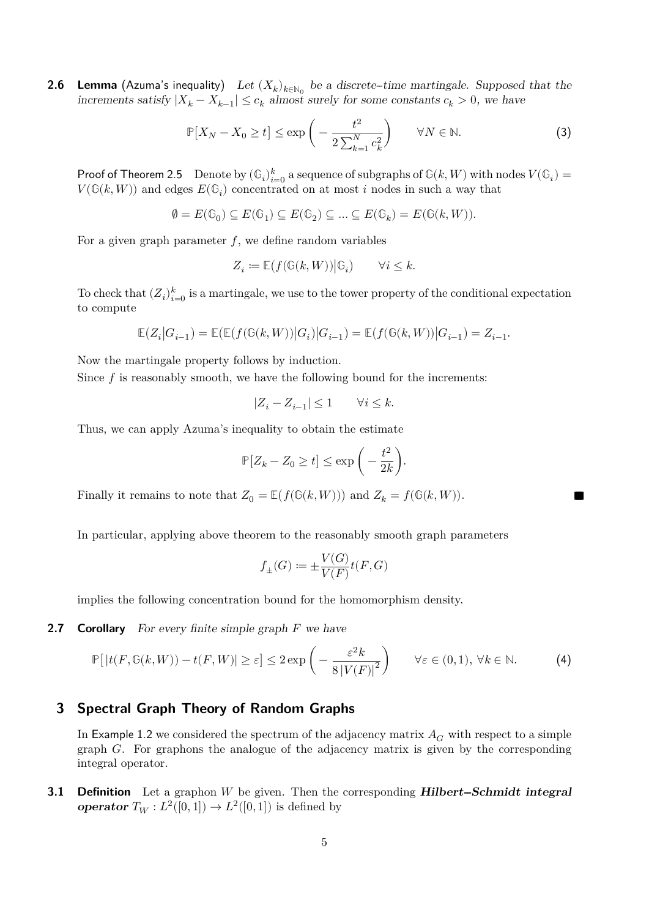**2.6 Lemma** (Azuma's inequality) Let  $(X_k)_{k \in \mathbb{N}_0}$  be a discrete-time martingale. Supposed that the increments satisfy  $|X_k - X_{k-1}| \leq c_k$  almost surely for some constants  $c_k > 0$ , we have

$$
\mathbb{P}[X_N - X_0 \ge t] \le \exp\left(-\frac{t^2}{2\sum_{k=1}^N c_k^2}\right) \qquad \forall N \in \mathbb{N}.\tag{3}
$$

Proof of Theorem 2.5 Denote by  $(\mathbb{G}_i)_{i=0}^k$  a sequence of subgraphs of  $\mathbb{G}(k, W)$  with nodes  $V(\mathbb{G}_i) = V(\mathbb{G}_i)$  $V(\mathbb{G}(k, W))$  and edges  $E(\mathbb{G}_i)$  concentrated on at most i nodes in such a way that

$$
\emptyset=E(\mathbb{G}_0)\subseteq E(\mathbb{G}_1)\subseteq E(\mathbb{G}_2)\subseteq\ldots\subseteq E(\mathbb{G}_k)=E(\mathbb{G}(k,W)).
$$

For a given graph parameter  $f$ , we define random variables

$$
Z_i \coloneqq \mathbb{E}\bigl(f(\mathbb{G}(k,W))\big| \mathbb{G}_i\bigr) \qquad \forall i \leq k.
$$

To check that  $(Z_i)_{i=0}^k$  is a martingale, we use to the tower property of the conditional expectation to compute

$$
\mathbb{E}\big(Z_i\big|G_{i-1}\big)=\mathbb{E}\big(\mathbb{E}\big(f(\mathbb{G}(k,W))\big|G_i\big)\big|G_{i-1}\big)=\mathbb{E}\big(f(\mathbb{G}(k,W))\big|G_{i-1}\big)=Z_{i-1}.
$$

Now the martingale property follows by induction.

Since  $f$  is reasonably smooth, we have the following bound for the increments:

$$
|Z_i-Z_{i-1}|\leq 1\qquad \forall i\leq k.
$$

Thus, we can apply Azuma's inequality to obtain the estimate

$$
\mathbb{P}[Z_k - Z_0 \ge t] \le \exp\bigg(-\frac{t^2}{2k}\bigg).
$$

Finally it remains to note that  $Z_0 = \mathbb{E}(f(\mathbb{G}(k, W)))$  and  $Z_k = f(\mathbb{G}(k, W))$ .

In particular, applying above theorem to the reasonably smooth graph parameters

$$
f_{\pm}(G) := \pm \frac{V(G)}{V(F)} t(F, G)
$$

implies the following concentration bound for the homomorphism density.

**2.7 Corollary** For every finite simple graph  $F$  we have

$$
\mathbb{P}\big[\left|t(F,\mathbb{G}(k,W)) - t(F,W)\right| \geq \varepsilon\big] \leq 2\exp\bigg(-\frac{\varepsilon^2 k}{8\left|V(F)\right|^2}\bigg) \qquad \forall \varepsilon \in (0,1), \,\forall k \in \mathbb{N}.\tag{4}
$$

## **3 Spectral Graph Theory of Random Graphs**

In Example 1.2 we considered the spectrum of the adjacency matrix  $A_G$  with respect to a simple graph  $G$ . For graphons the analogue of the adjacency matrix is given by the corresponding integral operator.

**3.1 Definition** Let a graphon W be given. Then the corresponding **Hilbert-Schmidt integral operator**  $T_W: L^2([0,1]) \to L^2([0,1])$  is defined by